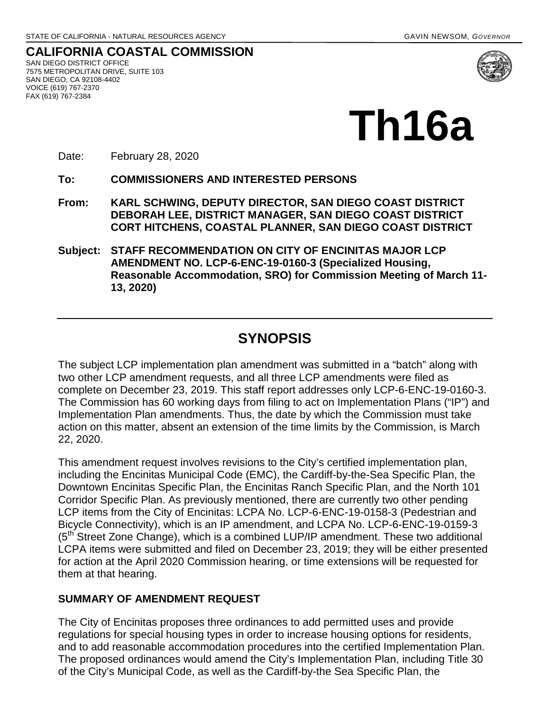**CALIFORNIA COASTAL COMMISSION** SAN DIEGO DISTRICT OFFICE 7575 METROPOLITAN DRIVE, SUITE 103 SAN DIEGO, CA 92108-4402 VOICE (619) 767-2370 FAX (619) 767-2384



# **Th16a**

Date: February 28, 2020

**To: COMMISSIONERS AND INTERESTED PERSONS** 

- **From: KARL SCHWING, DEPUTY DIRECTOR, SAN DIEGO COAST DISTRICT DEBORAH LEE, DISTRICT MANAGER, SAN DIEGO COAST DISTRICT CORT HITCHENS, COASTAL PLANNER, SAN DIEGO COAST DISTRICT**
- **Subject: STAFF RECOMMENDATION ON CITY OF ENCINITAS MAJOR LCP AMENDMENT NO. LCP-6-ENC-19-0160-3 (Specialized Housing, Reasonable Accommodation, SRO) for Commission Meeting of March 11- 13, 2020)**

# **SYNOPSIS**

The subject LCP implementation plan amendment was submitted in a "batch" along with two other LCP amendment requests, and all three LCP amendments were filed as complete on December 23, 2019. This staff report addresses only LCP-6-ENC-19-0160-3. The Commission has 60 working days from filing to act on Implementation Plans ("IP") and Implementation Plan amendments. Thus, the date by which the Commission must take action on this matter, absent an extension of the time limits by the Commission, is March 22, 2020.

This amendment request involves revisions to the City's certified implementation plan, including the Encinitas Municipal Code (EMC), the Cardiff-by-the-Sea Specific Plan, the Downtown Encinitas Specific Plan, the Encinitas Ranch Specific Plan, and the North 101 Corridor Specific Plan. As previously mentioned, there are currently two other pending LCP items from the City of Encinitas: LCPA No. LCP-6-ENC-19-0158-3 (Pedestrian and Bicycle Connectivity), which is an IP amendment, and LCPA No. LCP-6-ENC-19-0159-3  $(5<sup>th</sup> Street Zone Change)$ , which is a combined LUP/IP amendment. These two additional LCPA items were submitted and filed on December 23, 2019; they will be either presented for action at the April 2020 Commission hearing, or time extensions will be requested for them at that hearing.

#### **SUMMARY OF AMENDMENT REQUEST**

The City of Encinitas proposes three ordinances to add permitted uses and provide regulations for special housing types in order to increase housing options for residents, and to add reasonable accommodation procedures into the certified Implementation Plan. The proposed ordinances would amend the City's Implementation Plan, including Title 30 of the City's Municipal Code, as well as the Cardiff-by-the Sea Specific Plan, the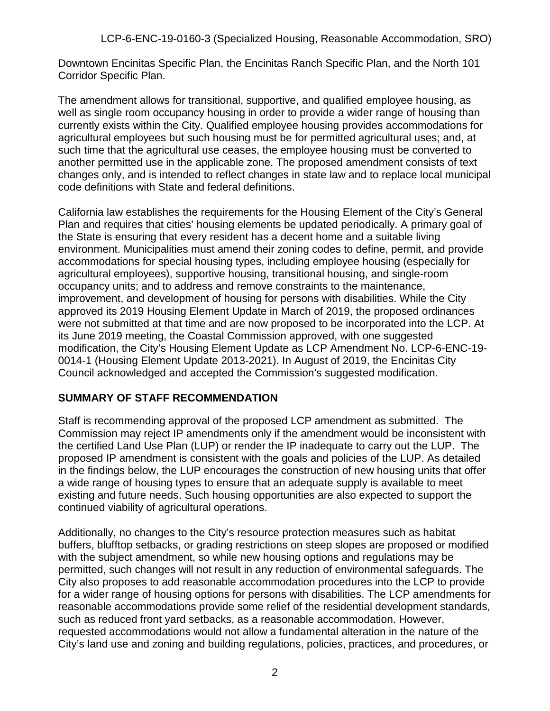Downtown Encinitas Specific Plan, the Encinitas Ranch Specific Plan, and the North 101 Corridor Specific Plan.

The amendment allows for transitional, supportive, and qualified employee housing, as well as single room occupancy housing in order to provide a wider range of housing than currently exists within the City. Qualified employee housing provides accommodations for agricultural employees but such housing must be for permitted agricultural uses; and, at such time that the agricultural use ceases, the employee housing must be converted to another permitted use in the applicable zone. The proposed amendment consists of text changes only, and is intended to reflect changes in state law and to replace local municipal code definitions with State and federal definitions.

California law establishes the requirements for the Housing Element of the City's General Plan and requires that cities' housing elements be updated periodically. A primary goal of the State is ensuring that every resident has a decent home and a suitable living environment. Municipalities must amend their zoning codes to define, permit, and provide accommodations for special housing types, including employee housing (especially for agricultural employees), supportive housing, transitional housing, and single-room occupancy units; and to address and remove constraints to the maintenance, improvement, and development of housing for persons with disabilities. While the City approved its 2019 Housing Element Update in March of 2019, the proposed ordinances were not submitted at that time and are now proposed to be incorporated into the LCP. At its June 2019 meeting, the Coastal Commission approved, with one suggested modification, the City's Housing Element Update as LCP Amendment No. LCP-6-ENC-19- 0014-1 (Housing Element Update 2013-2021). In August of 2019, the Encinitas City Council acknowledged and accepted the Commission's suggested modification.

#### **SUMMARY OF STAFF RECOMMENDATION**

Staff is recommending approval of the proposed LCP amendment as submitted. The Commission may reject IP amendments only if the amendment would be inconsistent with the certified Land Use Plan (LUP) or render the IP inadequate to carry out the LUP. The proposed IP amendment is consistent with the goals and policies of the LUP. As detailed in the findings below, the LUP encourages the construction of new housing units that offer a wide range of housing types to ensure that an adequate supply is available to meet existing and future needs. Such housing opportunities are also expected to support the continued viability of agricultural operations.

Additionally, no changes to the City's resource protection measures such as habitat buffers, blufftop setbacks, or grading restrictions on steep slopes are proposed or modified with the subject amendment, so while new housing options and regulations may be permitted, such changes will not result in any reduction of environmental safeguards. The City also proposes to add reasonable accommodation procedures into the LCP to provide for a wider range of housing options for persons with disabilities. The LCP amendments for reasonable accommodations provide some relief of the residential development standards, such as reduced front yard setbacks, as a reasonable accommodation. However, requested accommodations would not allow a fundamental alteration in the nature of the City's land use and zoning and building regulations, policies, practices, and procedures, or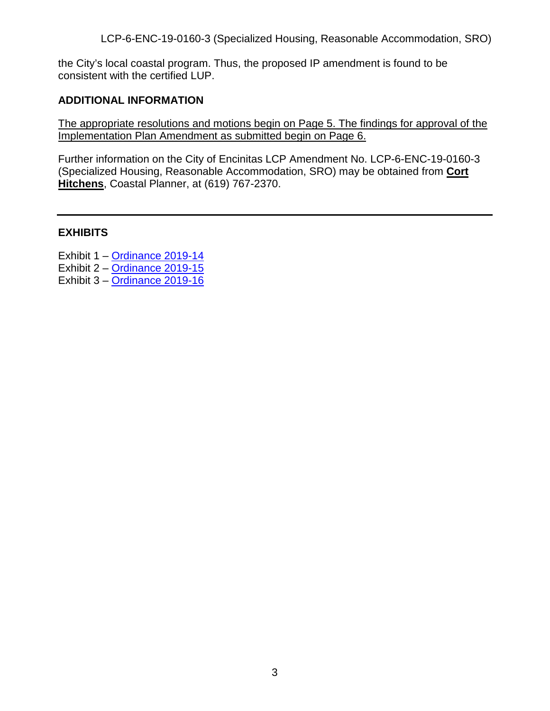the City's local coastal program. Thus, the proposed IP amendment is found to be consistent with the certified LUP.

#### **ADDITIONAL INFORMATION**

The appropriate resolutions and motions begin on Page 5. The findings for approval of the Implementation Plan Amendment as submitted begin on Page 6.

Further information on the City of Encinitas LCP Amendment No. LCP-6-ENC-19-0160-3 (Specialized Housing, Reasonable Accommodation, SRO) may be obtained from **Cort Hitchens**, Coastal Planner, at (619) 767-2370.

#### **EXHIBITS**

Exhibit 1 – [Ordinance 2019-14](https://documents.coastal.ca.gov/reports/2020/3/th16a/th16a-3-2020-exhibits.pdf)

- Exhibit 2 [Ordinance 2019-15](https://documents.coastal.ca.gov/reports/2020/3/th16a/th16a-3-2020-exhibits.pdf)
- Exhibit 3 – [Ordinance 2019-16](https://documents.coastal.ca.gov/reports/2020/3/th16a/th16a-3-2020-exhibits.pdf)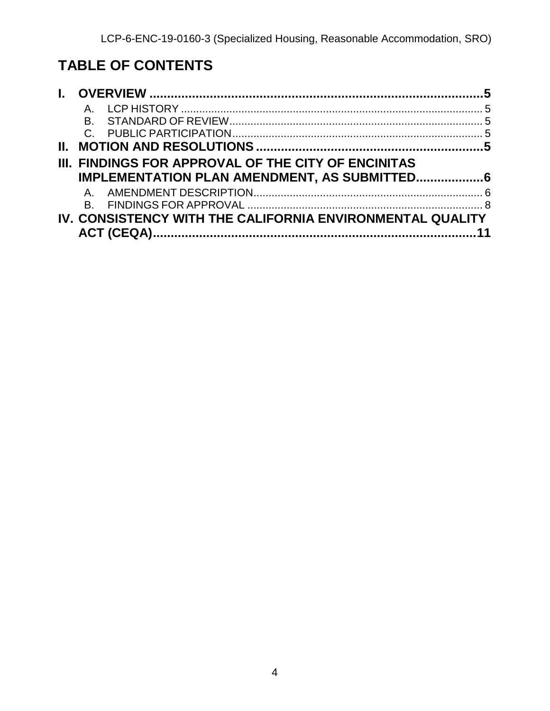# **TABLE OF CONTENTS**

|    | $A_{-}$                                                    |  |
|----|------------------------------------------------------------|--|
|    | B.                                                         |  |
|    |                                                            |  |
| Н. |                                                            |  |
|    | <b>III. FINDINGS FOR APPROVAL OF THE CITY OF ENCINITAS</b> |  |
|    | <b>IMPLEMENTATION PLAN AMENDMENT, AS SUBMITTED 6</b>       |  |
|    | $A_{-}$                                                    |  |
|    |                                                            |  |
|    | IV. CONSISTENCY WITH THE CALIFORNIA ENVIRONMENTAL QUALITY  |  |
|    |                                                            |  |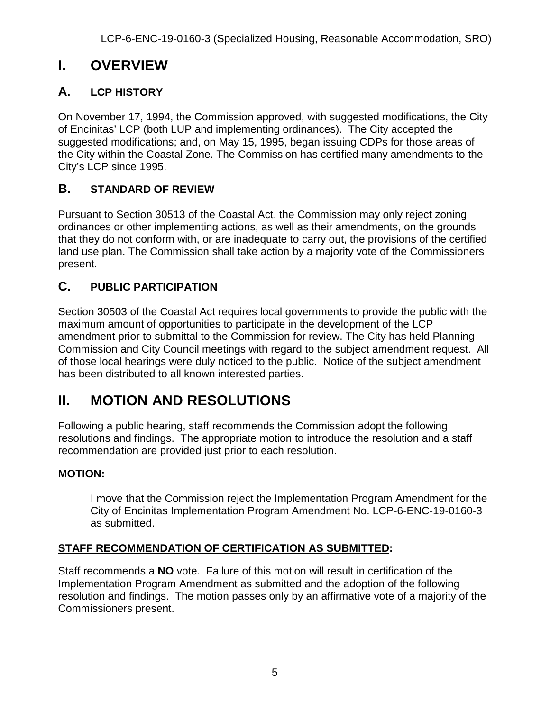# <span id="page-4-0"></span>**I. OVERVIEW**

# <span id="page-4-1"></span>**A. LCP HISTORY**

On November 17, 1994, the Commission approved, with suggested modifications, the City of Encinitas' LCP (both LUP and implementing ordinances). The City accepted the suggested modifications; and, on May 15, 1995, began issuing CDPs for those areas of the City within the Coastal Zone. The Commission has certified many amendments to the City's LCP since 1995.

# <span id="page-4-2"></span>**B. STANDARD OF REVIEW**

Pursuant to Section 30513 of the Coastal Act, the Commission may only reject zoning ordinances or other implementing actions, as well as their amendments, on the grounds that they do not conform with, or are inadequate to carry out, the provisions of the certified land use plan. The Commission shall take action by a majority vote of the Commissioners present.

# <span id="page-4-3"></span>**C. PUBLIC PARTICIPATION**

Section 30503 of the Coastal Act requires local governments to provide the public with the maximum amount of opportunities to participate in the development of the LCP amendment prior to submittal to the Commission for review. The City has held Planning Commission and City Council meetings with regard to the subject amendment request. All of those local hearings were duly noticed to the public. Notice of the subject amendment has been distributed to all known interested parties.

# <span id="page-4-4"></span>**II. MOTION AND RESOLUTIONS**

Following a public hearing, staff recommends the Commission adopt the following resolutions and findings. The appropriate motion to introduce the resolution and a staff recommendation are provided just prior to each resolution.

## **MOTION:**

I move that the Commission reject the Implementation Program Amendment for the City of Encinitas Implementation Program Amendment No. LCP-6-ENC-19-0160-3 as submitted.

## **STAFF RECOMMENDATION OF CERTIFICATION AS SUBMITTED:**

Staff recommends a **NO** vote. Failure of this motion will result in certification of the Implementation Program Amendment as submitted and the adoption of the following resolution and findings. The motion passes only by an affirmative vote of a majority of the Commissioners present.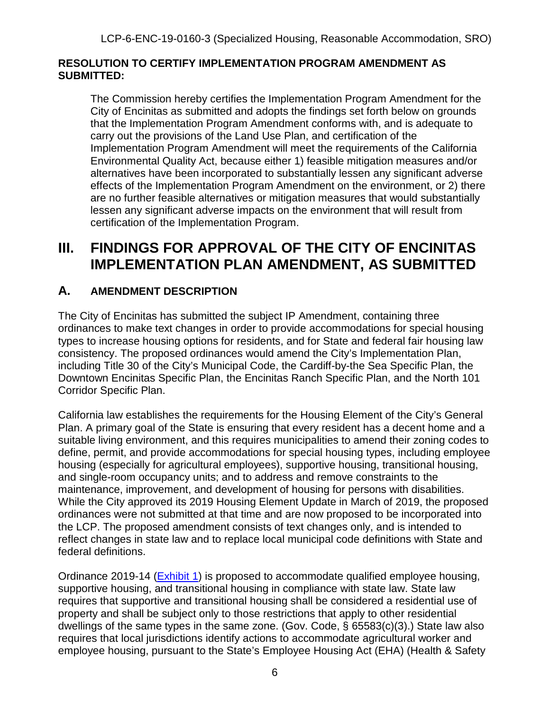#### **RESOLUTION TO CERTIFY IMPLEMENTATION PROGRAM AMENDMENT AS SUBMITTED:**

The Commission hereby certifies the Implementation Program Amendment for the City of Encinitas as submitted and adopts the findings set forth below on grounds that the Implementation Program Amendment conforms with, and is adequate to carry out the provisions of the Land Use Plan, and certification of the Implementation Program Amendment will meet the requirements of the California Environmental Quality Act, because either 1) feasible mitigation measures and/or alternatives have been incorporated to substantially lessen any significant adverse effects of the Implementation Program Amendment on the environment, or 2) there are no further feasible alternatives or mitigation measures that would substantially lessen any significant adverse impacts on the environment that will result from certification of the Implementation Program.

# <span id="page-5-0"></span>**III. FINDINGS FOR APPROVAL OF THE CITY OF ENCINITAS IMPLEMENTATION PLAN AMENDMENT, AS SUBMITTED**

## <span id="page-5-1"></span>**A. AMENDMENT DESCRIPTION**

The City of Encinitas has submitted the subject IP Amendment, containing three ordinances to make text changes in order to provide accommodations for special housing types to increase housing options for residents, and for State and federal fair housing law consistency. The proposed ordinances would amend the City's Implementation Plan, including Title 30 of the City's Municipal Code, the Cardiff-by-the Sea Specific Plan, the Downtown Encinitas Specific Plan, the Encinitas Ranch Specific Plan, and the North 101 Corridor Specific Plan.

California law establishes the requirements for the Housing Element of the City's General Plan. A primary goal of the State is ensuring that every resident has a decent home and a suitable living environment, and this requires municipalities to amend their zoning codes to define, permit, and provide accommodations for special housing types, including employee housing (especially for agricultural employees), supportive housing, transitional housing, and single-room occupancy units; and to address and remove constraints to the maintenance, improvement, and development of housing for persons with disabilities. While the City approved its 2019 Housing Element Update in March of 2019, the proposed ordinances were not submitted at that time and are now proposed to be incorporated into the LCP. The proposed amendment consists of text changes only, and is intended to reflect changes in state law and to replace local municipal code definitions with State and federal definitions.

Ordinance 2019-14 [\(Exhibit 1\)](https://documents.coastal.ca.gov/reports/2020/3/th16a/th16a-3-2020-exhibits.pdf) is proposed to accommodate qualified employee housing, supportive housing, and transitional housing in compliance with state law. State law requires that supportive and transitional housing shall be considered a residential use of property and shall be subject only to those restrictions that apply to other residential dwellings of the same types in the same zone. (Gov. Code, § 65583(c)(3).) State law also requires that local jurisdictions identify actions to accommodate agricultural worker and employee housing, pursuant to the State's Employee Housing Act (EHA) (Health & Safety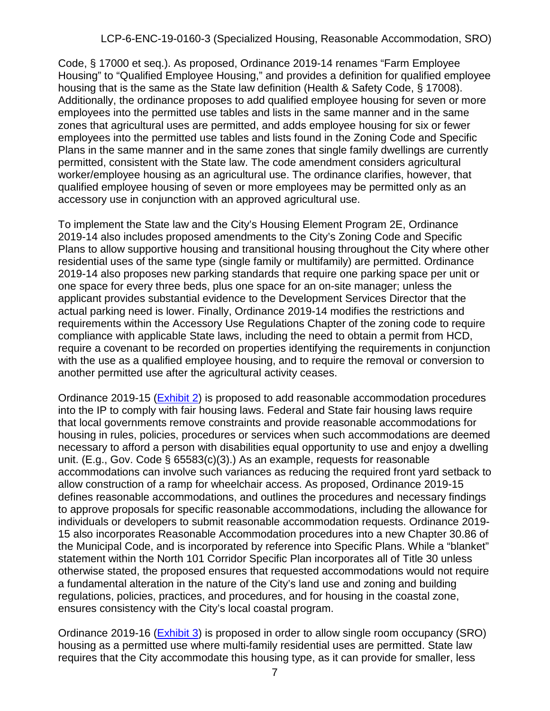Code, § 17000 et seq.). As proposed, Ordinance 2019-14 renames "Farm Employee Housing" to "Qualified Employee Housing," and provides a definition for qualified employee housing that is the same as the State law definition (Health & Safety Code, § 17008). Additionally, the ordinance proposes to add qualified employee housing for seven or more employees into the permitted use tables and lists in the same manner and in the same zones that agricultural uses are permitted, and adds employee housing for six or fewer employees into the permitted use tables and lists found in the Zoning Code and Specific Plans in the same manner and in the same zones that single family dwellings are currently permitted, consistent with the State law. The code amendment considers agricultural worker/employee housing as an agricultural use. The ordinance clarifies, however, that qualified employee housing of seven or more employees may be permitted only as an accessory use in conjunction with an approved agricultural use.

To implement the State law and the City's Housing Element Program 2E, Ordinance 2019-14 also includes proposed amendments to the City's Zoning Code and Specific Plans to allow supportive housing and transitional housing throughout the City where other residential uses of the same type (single family or multifamily) are permitted. Ordinance 2019-14 also proposes new parking standards that require one parking space per unit or one space for every three beds, plus one space for an on-site manager; unless the applicant provides substantial evidence to the Development Services Director that the actual parking need is lower. Finally, Ordinance 2019-14 modifies the restrictions and requirements within the Accessory Use Regulations Chapter of the zoning code to require compliance with applicable State laws, including the need to obtain a permit from HCD, require a covenant to be recorded on properties identifying the requirements in conjunction with the use as a qualified employee housing, and to require the removal or conversion to another permitted use after the agricultural activity ceases.

Ordinance 2019-15 [\(Exhibit 2\)](https://documents.coastal.ca.gov/reports/2020/3/th16a/th16a-3-2020-exhibits.pdf) is proposed to add reasonable accommodation procedures into the IP to comply with fair housing laws. Federal and State fair housing laws require that local governments remove constraints and provide reasonable accommodations for housing in rules, policies, procedures or services when such accommodations are deemed necessary to afford a person with disabilities equal opportunity to use and enjoy a dwelling unit. (E.g., Gov. Code § 65583(c)(3).) As an example, requests for reasonable accommodations can involve such variances as reducing the required front yard setback to allow construction of a ramp for wheelchair access. As proposed, Ordinance 2019-15 defines reasonable accommodations, and outlines the procedures and necessary findings to approve proposals for specific reasonable accommodations, including the allowance for individuals or developers to submit reasonable accommodation requests. Ordinance 2019- 15 also incorporates Reasonable Accommodation procedures into a new Chapter 30.86 of the Municipal Code, and is incorporated by reference into Specific Plans. While a "blanket" statement within the North 101 Corridor Specific Plan incorporates all of Title 30 unless otherwise stated, the proposed ensures that requested accommodations would not require a fundamental alteration in the nature of the City's land use and zoning and building regulations, policies, practices, and procedures, and for housing in the coastal zone, ensures consistency with the City's local coastal program.

Ordinance 2019-16 [\(Exhibit 3\)](https://documents.coastal.ca.gov/reports/2020/3/th16a/th16a-3-2020-exhibits.pdf) is proposed in order to allow single room occupancy (SRO) housing as a permitted use where multi-family residential uses are permitted. State law requires that the City accommodate this housing type, as it can provide for smaller, less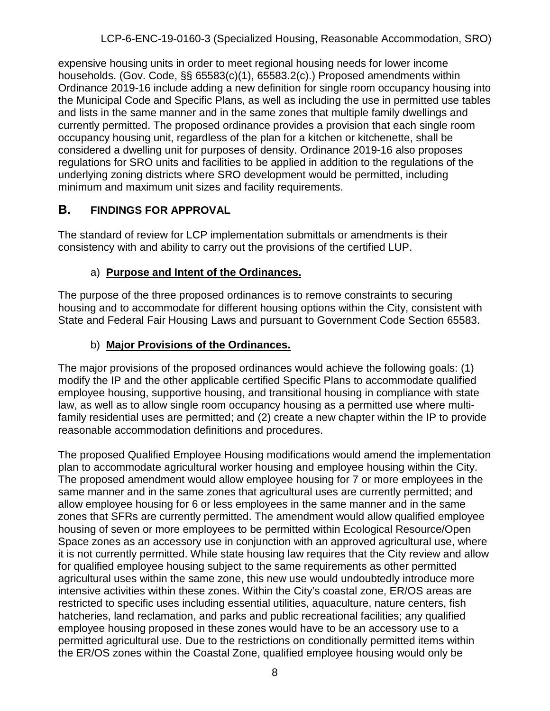expensive housing units in order to meet regional housing needs for lower income households. (Gov. Code, §§ 65583(c)(1), 65583.2(c).) Proposed amendments within Ordinance 2019-16 include adding a new definition for single room occupancy housing into the Municipal Code and Specific Plans, as well as including the use in permitted use tables and lists in the same manner and in the same zones that multiple family dwellings and currently permitted. The proposed ordinance provides a provision that each single room occupancy housing unit, regardless of the plan for a kitchen or kitchenette, shall be considered a dwelling unit for purposes of density. Ordinance 2019-16 also proposes regulations for SRO units and facilities to be applied in addition to the regulations of the underlying zoning districts where SRO development would be permitted, including minimum and maximum unit sizes and facility requirements.

## <span id="page-7-0"></span>**B. FINDINGS FOR APPROVAL**

The standard of review for LCP implementation submittals or amendments is their consistency with and ability to carry out the provisions of the certified LUP.

## a) **Purpose and Intent of the Ordinances.**

The purpose of the three proposed ordinances is to remove constraints to securing housing and to accommodate for different housing options within the City, consistent with State and Federal Fair Housing Laws and pursuant to Government Code Section 65583.

## b) **Major Provisions of the Ordinances.**

The major provisions of the proposed ordinances would achieve the following goals: (1) modify the IP and the other applicable certified Specific Plans to accommodate qualified employee housing, supportive housing, and transitional housing in compliance with state law, as well as to allow single room occupancy housing as a permitted use where multifamily residential uses are permitted; and (2) create a new chapter within the IP to provide reasonable accommodation definitions and procedures.

The proposed Qualified Employee Housing modifications would amend the implementation plan to accommodate agricultural worker housing and employee housing within the City. The proposed amendment would allow employee housing for 7 or more employees in the same manner and in the same zones that agricultural uses are currently permitted; and allow employee housing for 6 or less employees in the same manner and in the same zones that SFRs are currently permitted. The amendment would allow qualified employee housing of seven or more employees to be permitted within Ecological Resource/Open Space zones as an accessory use in conjunction with an approved agricultural use, where it is not currently permitted. While state housing law requires that the City review and allow for qualified employee housing subject to the same requirements as other permitted agricultural uses within the same zone, this new use would undoubtedly introduce more intensive activities within these zones. Within the City's coastal zone, ER/OS areas are restricted to specific uses including essential utilities, aquaculture, nature centers, fish hatcheries, land reclamation, and parks and public recreational facilities; any qualified employee housing proposed in these zones would have to be an accessory use to a permitted agricultural use. Due to the restrictions on conditionally permitted items within the ER/OS zones within the Coastal Zone, qualified employee housing would only be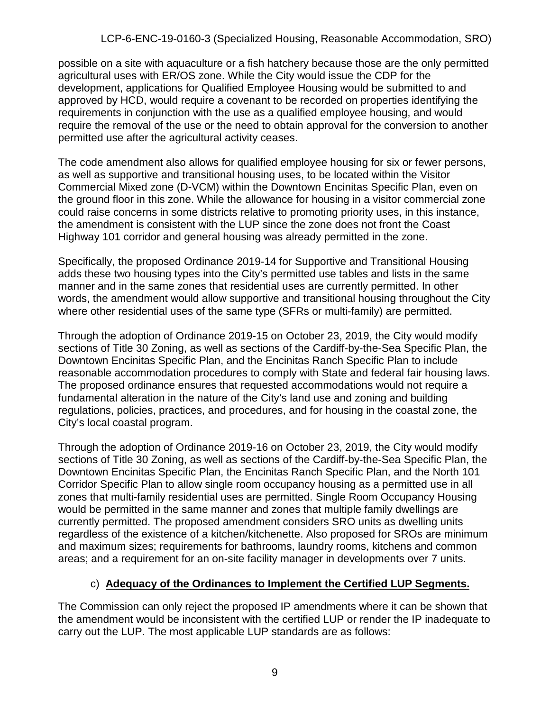possible on a site with aquaculture or a fish hatchery because those are the only permitted agricultural uses with ER/OS zone. While the City would issue the CDP for the development, applications for Qualified Employee Housing would be submitted to and approved by HCD, would require a covenant to be recorded on properties identifying the requirements in conjunction with the use as a qualified employee housing, and would require the removal of the use or the need to obtain approval for the conversion to another permitted use after the agricultural activity ceases.

The code amendment also allows for qualified employee housing for six or fewer persons, as well as supportive and transitional housing uses, to be located within the Visitor Commercial Mixed zone (D-VCM) within the Downtown Encinitas Specific Plan, even on the ground floor in this zone. While the allowance for housing in a visitor commercial zone could raise concerns in some districts relative to promoting priority uses, in this instance, the amendment is consistent with the LUP since the zone does not front the Coast Highway 101 corridor and general housing was already permitted in the zone.

Specifically, the proposed Ordinance 2019-14 for Supportive and Transitional Housing adds these two housing types into the City's permitted use tables and lists in the same manner and in the same zones that residential uses are currently permitted. In other words, the amendment would allow supportive and transitional housing throughout the City where other residential uses of the same type (SFRs or multi-family) are permitted.

Through the adoption of Ordinance 2019-15 on October 23, 2019, the City would modify sections of Title 30 Zoning, as well as sections of the Cardiff-by-the-Sea Specific Plan, the Downtown Encinitas Specific Plan, and the Encinitas Ranch Specific Plan to include reasonable accommodation procedures to comply with State and federal fair housing laws. The proposed ordinance ensures that requested accommodations would not require a fundamental alteration in the nature of the City's land use and zoning and building regulations, policies, practices, and procedures, and for housing in the coastal zone, the City's local coastal program.

Through the adoption of Ordinance 2019-16 on October 23, 2019, the City would modify sections of Title 30 Zoning, as well as sections of the Cardiff-by-the-Sea Specific Plan, the Downtown Encinitas Specific Plan, the Encinitas Ranch Specific Plan, and the North 101 Corridor Specific Plan to allow single room occupancy housing as a permitted use in all zones that multi-family residential uses are permitted. Single Room Occupancy Housing would be permitted in the same manner and zones that multiple family dwellings are currently permitted. The proposed amendment considers SRO units as dwelling units regardless of the existence of a kitchen/kitchenette. Also proposed for SROs are minimum and maximum sizes; requirements for bathrooms, laundry rooms, kitchens and common areas; and a requirement for an on-site facility manager in developments over 7 units.

## c) **Adequacy of the Ordinances to Implement the Certified LUP Segments.**

The Commission can only reject the proposed IP amendments where it can be shown that the amendment would be inconsistent with the certified LUP or render the IP inadequate to carry out the LUP. The most applicable LUP standards are as follows: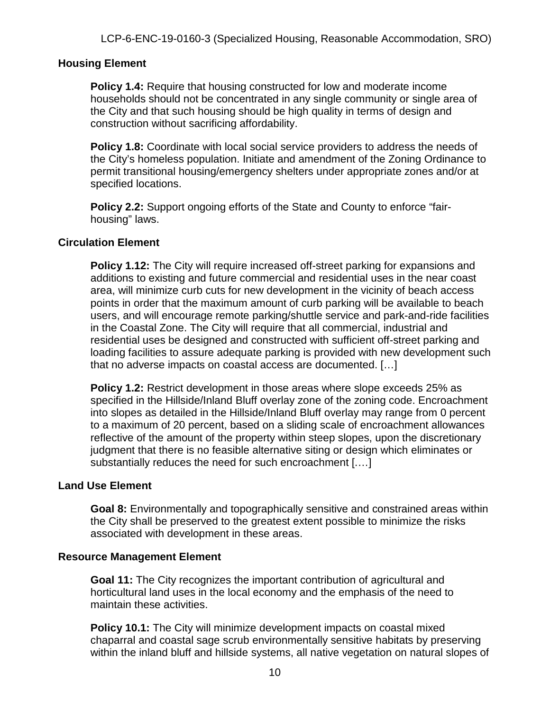#### **Housing Element**

**Policy 1.4:** Require that housing constructed for low and moderate income households should not be concentrated in any single community or single area of the City and that such housing should be high quality in terms of design and construction without sacrificing affordability.

**Policy 1.8:** Coordinate with local social service providers to address the needs of the City's homeless population. Initiate and amendment of the Zoning Ordinance to permit transitional housing/emergency shelters under appropriate zones and/or at specified locations.

**Policy 2.2:** Support ongoing efforts of the State and County to enforce "fairhousing" laws.

#### **Circulation Element**

**Policy 1.12:** The City will require increased off-street parking for expansions and additions to existing and future commercial and residential uses in the near coast area, will minimize curb cuts for new development in the vicinity of beach access points in order that the maximum amount of curb parking will be available to beach users, and will encourage remote parking/shuttle service and park-and-ride facilities in the Coastal Zone. The City will require that all commercial, industrial and residential uses be designed and constructed with sufficient off-street parking and loading facilities to assure adequate parking is provided with new development such that no adverse impacts on coastal access are documented. […]

**Policy 1.2:** Restrict development in those areas where slope exceeds 25% as specified in the Hillside/Inland Bluff overlay zone of the zoning code. Encroachment into slopes as detailed in the Hillside/Inland Bluff overlay may range from 0 percent to a maximum of 20 percent, based on a sliding scale of encroachment allowances reflective of the amount of the property within steep slopes, upon the discretionary judgment that there is no feasible alternative siting or design which eliminates or substantially reduces the need for such encroachment [.…]

#### **Land Use Element**

**Goal 8:** Environmentally and topographically sensitive and constrained areas within the City shall be preserved to the greatest extent possible to minimize the risks associated with development in these areas.

#### **Resource Management Element**

**Goal 11:** The City recognizes the important contribution of agricultural and horticultural land uses in the local economy and the emphasis of the need to maintain these activities.

**Policy 10.1:** The City will minimize development impacts on coastal mixed chaparral and coastal sage scrub environmentally sensitive habitats by preserving within the inland bluff and hillside systems, all native vegetation on natural slopes of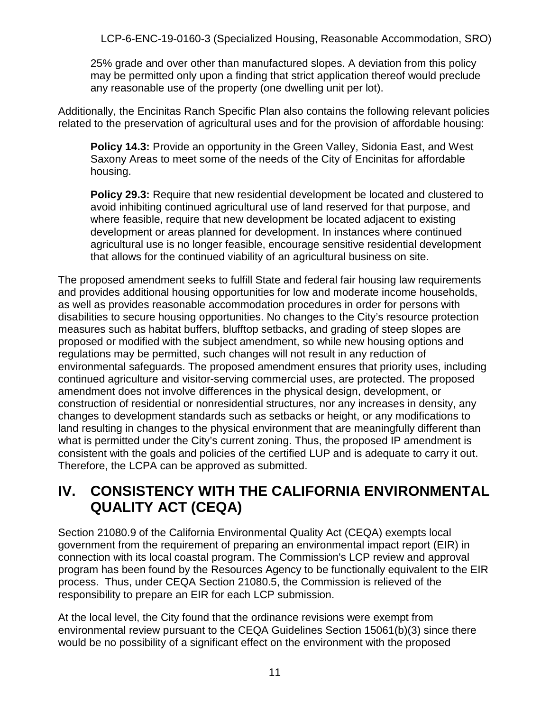25% grade and over other than manufactured slopes. A deviation from this policy may be permitted only upon a finding that strict application thereof would preclude any reasonable use of the property (one dwelling unit per lot).

Additionally, the Encinitas Ranch Specific Plan also contains the following relevant policies related to the preservation of agricultural uses and for the provision of affordable housing:

**Policy 14.3:** Provide an opportunity in the Green Valley, Sidonia East, and West Saxony Areas to meet some of the needs of the City of Encinitas for affordable housing.

**Policy 29.3:** Require that new residential development be located and clustered to avoid inhibiting continued agricultural use of land reserved for that purpose, and where feasible, require that new development be located adjacent to existing development or areas planned for development. In instances where continued agricultural use is no longer feasible, encourage sensitive residential development that allows for the continued viability of an agricultural business on site.

The proposed amendment seeks to fulfill State and federal fair housing law requirements and provides additional housing opportunities for low and moderate income households, as well as provides reasonable accommodation procedures in order for persons with disabilities to secure housing opportunities. No changes to the City's resource protection measures such as habitat buffers, blufftop setbacks, and grading of steep slopes are proposed or modified with the subject amendment, so while new housing options and regulations may be permitted, such changes will not result in any reduction of environmental safeguards. The proposed amendment ensures that priority uses, including continued agriculture and visitor-serving commercial uses, are protected. The proposed amendment does not involve differences in the physical design, development, or construction of residential or nonresidential structures, nor any increases in density, any changes to development standards such as setbacks or height, or any modifications to land resulting in changes to the physical environment that are meaningfully different than what is permitted under the City's current zoning. Thus, the proposed IP amendment is consistent with the goals and policies of the certified LUP and is adequate to carry it out. Therefore, the LCPA can be approved as submitted.

# <span id="page-10-0"></span>**IV. CONSISTENCY WITH THE CALIFORNIA ENVIRONMENTAL QUALITY ACT (CEQA)**

Section 21080.9 of the California Environmental Quality Act (CEQA) exempts local government from the requirement of preparing an environmental impact report (EIR) in connection with its local coastal program. The Commission's LCP review and approval program has been found by the Resources Agency to be functionally equivalent to the EIR process. Thus, under CEQA Section 21080.5, the Commission is relieved of the responsibility to prepare an EIR for each LCP submission.

At the local level, the City found that the ordinance revisions were exempt from environmental review pursuant to the CEQA Guidelines Section 15061(b)(3) since there would be no possibility of a significant effect on the environment with the proposed